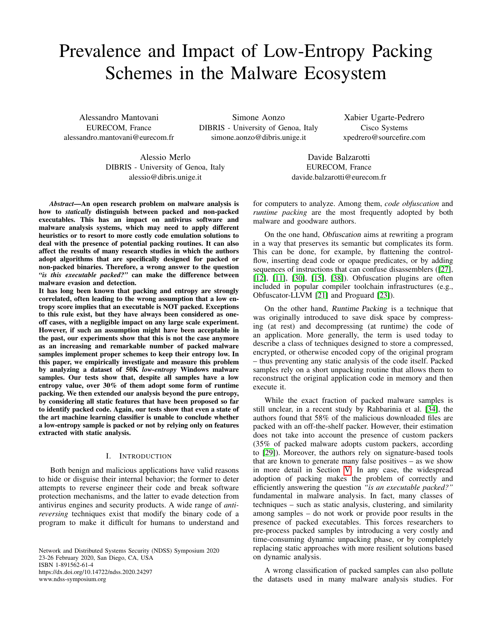# Prevalence and Impact of Low-Entropy Packing Schemes in the Malware Ecosystem

Alessandro Mantovani EURECOM, France alessandro.mantovani@eurecom.fr

Simone Aonzo DIBRIS - University of Genoa, Italy simone.aonzo@dibris.unige.it

Xabier Ugarte-Pedrero Cisco Systems xpedrero@sourcefire.com

Alessio Merlo DIBRIS - University of Genoa, Italy alessio@dibris.unige.it

Davide Balzarotti EURECOM, France

*Abstract*—An open research problem on malware analysis is how to *statically* distinguish between packed and non-packed executables. This has an impact on antivirus software and malware analysis systems, which may need to apply different heuristics or to resort to more costly code emulation solutions to deal with the presence of potential packing routines. It can also affect the results of many research studies in which the authors adopt algorithms that are specifically designed for packed or non-packed binaries. Therefore, a wrong answer to the question *"is this executable packed?"* can make the difference between malware evasion and detection.

It has long been known that packing and entropy are strongly correlated, often leading to the wrong assumption that a low entropy score implies that an executable is NOT packed. Exceptions to this rule exist, but they have always been considered as oneoff cases, with a negligible impact on any large scale experiment. However, if such an assumption might have been acceptable in the past, our experiments show that this is not the case anymore as an increasing and remarkable number of packed malware samples implement proper schemes to keep their entropy low. In this paper, we empirically investigate and measure this problem by analyzing a dataset of 50K *low-entropy* Windows malware samples. Our tests show that, despite all samples have a low entropy value, over 30% of them adopt some form of runtime packing. We then extended our analysis beyond the pure entropy, by considering all static features that have been proposed so far to identify packed code. Again, our tests show that even a state of the art machine learning classifier is unable to conclude whether a low-entropy sample is packed or not by relying only on features extracted with static analysis.

## I. INTRODUCTION

Both benign and malicious applications have valid reasons to hide or disguise their internal behavior; the former to deter attempts to reverse engineer their code and break software protection mechanisms, and the latter to evade detection from antivirus engines and security products. A wide range of *antireversing* techniques exist that modify the binary code of a program to make it difficult for humans to understand and

Network and Distributed Systems Security (NDSS) Symposium 2020 23-26 February 2020, San Diego, CA, USA ISBN 1-891562-61-4 https://dx.doi.org/10.14722/ndss.2020.24297 www.ndss-symposium.org

davide.balzarotti@eurecom.fr

for computers to analyze. Among them, *code obfuscation* and *runtime packing* are the most frequently adopted by both malware and goodware authors.

On the one hand, Obfuscation aims at rewriting a program in a way that preserves its semantic but complicates its form. This can be done, for example, by flattening the controlflow, inserting dead code or opaque predicates, or by adding sequences of instructions that can confuse disassemblers ([\[27\]](#page-14-0), [\[12\]](#page-13-0), [\[11\]](#page-13-1), [\[30\]](#page-14-1), [\[15\]](#page-13-2), [\[38\]](#page-14-2)). Obfuscation plugins are often included in popular compiler toolchain infrastructures (e.g., Obfuscator-LLVM [\[21\]](#page-14-3) and Proguard [\[23\]](#page-14-4)).

On the other hand, Runtime Packing is a technique that was originally introduced to save disk space by compressing (at rest) and decompressing (at runtime) the code of an application. More generally, the term is used today to describe a class of techniques designed to store a compressed, encrypted, or otherwise encoded copy of the original program – thus preventing any static analysis of the code itself. Packed samples rely on a short unpacking routine that allows them to reconstruct the original application code in memory and then execute it.

While the exact fraction of packed malware samples is still unclear, in a recent study by Rahbarinia et al. [\[34\]](#page-14-5), the authors found that 58% of the malicious downloaded files are packed with an off-the-shelf packer. However, their estimation does not take into account the presence of custom packers (35% of packed malware adopts custom packers, according to [\[29\]](#page-14-6)). Moreover, the authors rely on signature-based tools that are known to generate many false positives – as we show in more detail in Section [V.](#page-7-0) In any case, the widespread adoption of packing makes the problem of correctly and efficiently answering the question *"is an executable packed?"* fundamental in malware analysis. In fact, many classes of techniques – such as static analysis, clustering, and similarity among samples – do not work or provide poor results in the presence of packed executables. This forces researchers to pre-process packed samples by introducing a very costly and time-consuming dynamic unpacking phase, or by completely replacing static approaches with more resilient solutions based on dynamic analysis.

A wrong classification of packed samples can also pollute the datasets used in many malware analysis studies. For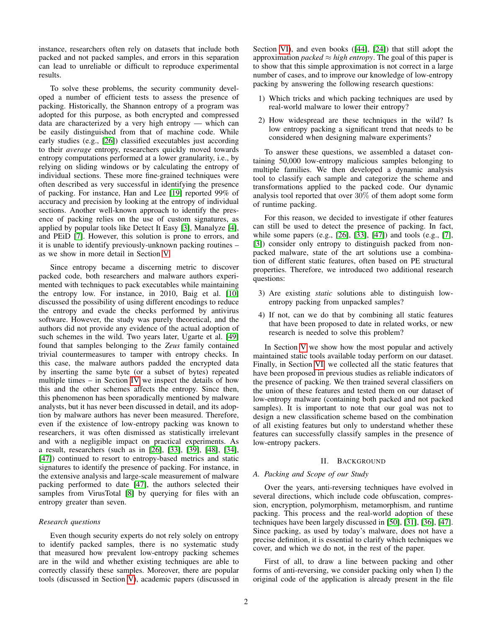instance, researchers often rely on datasets that include both packed and not packed samples, and errors in this separation can lead to unreliable or difficult to reproduce experimental results.

To solve these problems, the security community developed a number of efficient tests to assess the presence of packing. Historically, the Shannon entropy of a program was adopted for this purpose, as both encrypted and compressed data are characterized by a very high entropy — which can be easily distinguished from that of machine code. While early studies (e.g., [\[26\]](#page-14-7)) classified executables just according to their *average* entropy, researchers quickly moved towards entropy computations performed at a lower granularity, i.e., by relying on sliding windows or by calculating the entropy of individual sections. These more fine-grained techniques were often described as very successful in identifying the presence of packing. For instance, Han and Lee [\[19\]](#page-13-3) reported 99% of accuracy and precision by looking at the entropy of individual sections. Another well-known approach to identify the presence of packing relies on the use of custom signatures, as applied by popular tools like Detect It Easy [\[3\]](#page-13-4), Manalyze [\[4\]](#page-13-5), and PEiD [\[7\]](#page-13-6). However, this solution is prone to errors, and it is unable to identify previously-unknown packing routines – as we show in more detail in Section [V.](#page-7-0)

Since entropy became a discerning metric to discover packed code, both researchers and malware authors experimented with techniques to pack executables while maintaining the entropy low. For instance, in 2010, Baig et al. [\[10\]](#page-13-7) discussed the possibility of using different encodings to reduce the entropy and evade the checks performed by antivirus software. However, the study was purely theoretical, and the authors did not provide any evidence of the actual adoption of such schemes in the wild. Two years later, Ugarte et al. [\[49\]](#page-14-8) found that samples belonging to the *Zeus* family contained trivial countermeasures to tamper with entropy checks. In this case, the malware authors padded the encrypted data by inserting the same byte (or a subset of bytes) repeated multiple times – in Section [IV](#page-5-0) we inspect the details of how this and the other schemes affects the entropy. Since then, this phenomenon has been sporadically mentioned by malware analysts, but it has never been discussed in detail, and its adoption by malware authors has never been measured. Therefore, even if the existence of low-entropy packing was known to researchers, it was often dismissed as statistically irrelevant and with a negligible impact on practical experiments. As a result, researchers (such as in [\[26\]](#page-14-7), [\[33\]](#page-14-9), [\[39\]](#page-14-10), [\[48\]](#page-14-11), [\[34\]](#page-14-5), [\[47\]](#page-14-12)) continued to resort to entropy-based metrics and static signatures to identify the presence of packing. For instance, in the extensive analysis and large-scale measurement of malware packing performed to date [\[47\]](#page-14-12), the authors selected their samples from VirusTotal [\[8\]](#page-13-8) by querying for files with an entropy greater than seven.

## *Research questions*

Even though security experts do not rely solely on entropy to identify packed samples, there is no systematic study that measured how prevalent low-entropy packing schemes are in the wild and whether existing techniques are able to correctly classify these samples. Moreover, there are popular tools (discussed in Section [V\)](#page-7-0), academic papers (discussed in Section [VI\)](#page-8-0), and even books ([\[44\]](#page-14-13), [\[24\]](#page-14-14)) that still adopt the approximation *packed*  $\approx$  *high entropy*. The goal of this paper is to show that this simple approximation is not correct in a large number of cases, and to improve our knowledge of low-entropy packing by answering the following research questions:

- 1) Which tricks and which packing techniques are used by real-world malware to lower their entropy?
- 2) How widespread are these techniques in the wild? Is low entropy packing a significant trend that needs to be considered when designing malware experiments?

To answer these questions, we assembled a dataset containing 50,000 low-entropy malicious samples belonging to multiple families. We then developed a dynamic analysis tool to classify each sample and categorize the scheme and transformations applied to the packed code. Our dynamic analysis tool reported that over 30% of them adopt some form of runtime packing.

For this reason, we decided to investigate if other features can still be used to detect the presence of packing. In fact, while some papers (e.g., [\[26\]](#page-14-7), [\[33\]](#page-14-9), [\[47\]](#page-14-12)) and tools (e.g., [\[7\]](#page-13-6), [\[3\]](#page-13-4)) consider only entropy to distinguish packed from nonpacked malware, state of the art solutions use a combination of different static features, often based on PE structural properties. Therefore, we introduced two additional research questions:

- 3) Are existing *static* solutions able to distinguish lowentropy packing from unpacked samples?
- 4) If not, can we do that by combining all static features that have been proposed to date in related works, or new research is needed to solve this problem?

In Section [V](#page-7-0) we show how the most popular and actively maintained static tools available today perform on our dataset. Finally, in Section [VI,](#page-8-0) we collected all the static features that have been proposed in previous studies as reliable indicators of the presence of packing. We then trained several classifiers on the union of these features and tested them on our dataset of low-entropy malware (containing both packed and not packed samples). It is important to note that our goal was not to design a new classification scheme based on the combination of all existing features but only to understand whether these features can successfully classify samples in the presence of low-entropy packers.

#### II. BACKGROUND

## *A. Packing and Scope of our Study*

Over the years, anti-reversing techniques have evolved in several directions, which include code obfuscation, compression, encryption, polymorphism, metamorphism, and runtime packing. This process and the real-world adoption of these techniques have been largely discussed in [\[50\]](#page-14-15), [\[31\]](#page-14-16), [\[36\]](#page-14-17), [\[47\]](#page-14-12). Since packing, as used by today's malware, does not have a precise definition, it is essential to clarify which techniques we cover, and which we do not, in the rest of the paper.

First of all, to draw a line between packing and other forms of anti-reversing, we consider packing only when I) the original code of the application is already present in the file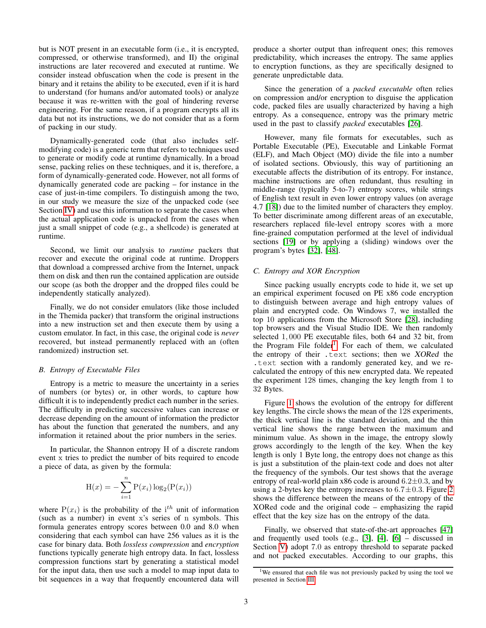but is NOT present in an executable form (i.e., it is encrypted, compressed, or otherwise transformed), and II) the original instructions are later recovered and executed at runtime. We consider instead obfuscation when the code is present in the binary and it retains the ability to be executed, even if it is hard to understand (for humans and/or automated tools) or analyze because it was re-written with the goal of hindering reverse engineering. For the same reason, if a program encrypts all its data but not its instructions, we do not consider that as a form of packing in our study.

Dynamically-generated code (that also includes selfmodifying code) is a generic term that refers to techniques used to generate or modify code at runtime dynamically. In a broad sense, packing relies on these techniques, and it is, therefore, a form of dynamically-generated code. However, not all forms of dynamically generated code are packing – for instance in the case of just-in-time compilers. To distinguish among the two, in our study we measure the size of the unpacked code (see Section [IV\)](#page-5-0) and use this information to separate the cases when the actual application code is unpacked from the cases when just a small snippet of code (e.g., a shellcode) is generated at runtime.

Second, we limit our analysis to *runtime* packers that recover and execute the original code at runtime. Droppers that download a compressed archive from the Internet, unpack them on disk and then run the contained application are outside our scope (as both the dropper and the dropped files could be independently statically analyzed).

Finally, we do not consider emulators (like those included in the Themida packer) that transform the original instructions into a new instruction set and then execute them by using a custom emulator. In fact, in this case, the original code is *never* recovered, but instead permanently replaced with an (often randomized) instruction set.

## *B. Entropy of Executable Files*

Entropy is a metric to measure the uncertainty in a series of numbers (or bytes) or, in other words, to capture how difficult it is to independently predict each number in the series. The difficulty in predicting successive values can increase or decrease depending on the amount of information the predictor has about the function that generated the numbers, and any information it retained about the prior numbers in the series.

In particular, the Shannon entropy H of a discrete random event x tries to predict the number of bits required to encode a piece of data, as given by the formula:

$$
H(x) = -\sum_{i=1}^{n} P(x_i) \log_2(P(x_i))
$$

where  $P(x_i)$  is the probability of the i<sup>th</sup> unit of information (such as a number) in event x's series of n symbols. This formula generates entropy scores between 0.0 and 8.0 when considering that each symbol can have 256 values as it is the case for binary data. Both *lossless compression* and *encryption* functions typically generate high entropy data. In fact, lossless compression functions start by generating a statistical model for the input data, then use such a model to map input data to bit sequences in a way that frequently encountered data will produce a shorter output than infrequent ones; this removes predictability, which increases the entropy. The same applies to encryption functions, as they are specifically designed to generate unpredictable data.

Since the generation of a *packed executable* often relies on compression and/or encryption to disguise the application code, packed files are usually characterized by having a high entropy. As a consequence, entropy was the primary metric used in the past to classify *packed* executables [\[26\]](#page-14-7).

However, many file formats for executables, such as Portable Executable (PE), Executable and Linkable Format (ELF), and Mach Object (MO) divide the file into a number of isolated sections. Obviously, this way of partitioning an executable affects the distribution of its entropy. For instance, machine instructions are often redundant, thus resulting in middle-range (typically 5-to-7) entropy scores, while strings of English text result in even lower entropy values (on average 4.7 [\[18\]](#page-13-9)) due to the limited number of characters they employ. To better discriminate among different areas of an executable, researchers replaced file-level entropy scores with a more fine-grained computation performed at the level of individual sections [\[19\]](#page-13-3) or by applying a (sliding) windows over the program's bytes [\[32\]](#page-14-18), [\[48\]](#page-14-11).

## <span id="page-2-1"></span>*C. Entropy and XOR Encryption*

Since packing usually encrypts code to hide it, we set up an empirical experiment focused on PE x86 code encryption to distinguish between average and high entropy values of plain and encrypted code. On Windows 7, we installed the top 10 applications from the Microsoft Store [\[28\]](#page-14-19), including top browsers and the Visual Studio IDE. We then randomly selected 1, 000 PE executable files, both 64 and 32 bit, from the Program File folder<sup>[1](#page-2-0)</sup>. For each of them, we calculated the entropy of their .text sections; then we XORed the .text section with a randomly generated key, and we recalculated the entropy of this new encrypted data. We repeated the experiment 128 times, changing the key length from 1 to 32 Bytes.

Figure [1](#page-3-0) shows the evolution of the entropy for different key lengths. The circle shows the mean of the 128 experiments, the thick vertical line is the standard deviation, and the thin vertical line shows the range between the maximum and minimum value. As shown in the image, the entropy slowly grows accordingly to the length of the key. When the key length is only 1 Byte long, the entropy does not change as this is just a substitution of the plain-text code and does not alter the frequency of the symbols. Our test shows that the average entropy of real-world plain x86 code is around  $6.2 \pm 0.3$ , and by using a [2](#page-3-1)-bytes key the entropy increases to  $6.7 \pm 0.3$ . Figure 2 shows the difference between the means of the entropy of the XORed code and the original code – emphasizing the rapid effect that the key size has on the entropy of the data.

Finally, we observed that state-of-the-art approaches [\[47\]](#page-14-12) and frequently used tools (e.g., [\[3\]](#page-13-4), [\[4\]](#page-13-5),  $[6]$  – discussed in Section [V\)](#page-7-0) adopt 7.0 as entropy threshold to separate packed and not packed executables. According to our graphs, this

<span id="page-2-0"></span><sup>&</sup>lt;sup>1</sup>We ensured that each file was not previously packed by using the tool we presented in Section [III.](#page-3-2)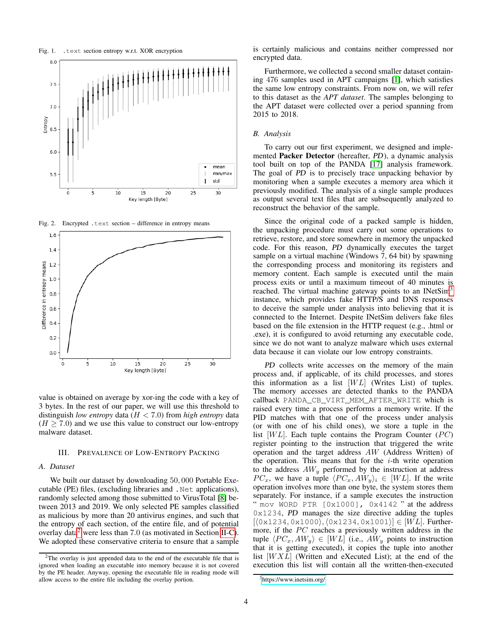<span id="page-3-0"></span>

<span id="page-3-1"></span>Fig. 2. Encrypted .text section – difference in entropy means



value is obtained on average by xor-ing the code with a key of 3 bytes. In the rest of our paper, we will use this threshold to distinguish *low entropy* data (H < 7.0) from *high entropy* data  $(H \ge 7.0)$  and we use this value to construct our low-entropy malware dataset.

## <span id="page-3-2"></span>III. PREVALENCE OF LOW-ENTROPY PACKING

# <span id="page-3-5"></span>*A. Dataset*

We built our dataset by downloading 50, 000 Portable Executable (PE) files, (excluding libraries and .Net applications), randomly selected among those submitted to VirusTotal [\[8\]](#page-13-8) between 2013 and 2019. We only selected PE samples classified as malicious by more than 20 antivirus engines, and such that the entropy of each section, of the entire file, and of potential overlay data<sup>[2](#page-3-3)</sup> were less than  $7.0$  (as motivated in Section [II-C\)](#page-2-1). We adopted these conservative criteria to ensure that a sample is certainly malicious and contains neither compressed nor encrypted data.

Furthermore, we collected a second smaller dataset containing 476 samples used in APT campaigns [\[1\]](#page-13-11), which satisfies the same low entropy constraints. From now on, we will refer to this dataset as the *APT dataset*. The samples belonging to the APT dataset were collected over a period spanning from 2015 to 2018.

## *B. Analysis*

To carry out our first experiment, we designed and implemented Packer Detector (hereafter, PD), a dynamic analysis tool built on top of the PANDA [\[17\]](#page-13-12) analysis framework. The goal of PD is to precisely trace unpacking behavior by monitoring when a sample executes a memory area which it previously modified. The analysis of a single sample produces as output several text files that are subsequently analyzed to reconstruct the behavior of the sample.

Since the original code of a packed sample is hidden, the unpacking procedure must carry out some operations to retrieve, restore, and store somewhere in memory the unpacked code. For this reason, PD dynamically executes the target sample on a virtual machine (Windows 7, 64 bit) by spawning the corresponding process and monitoring its registers and memory content. Each sample is executed until the main process exits or until a maximum timeout of 40 minutes is reached. The virtual machine gateway points to an INetSim<sup>[3](#page-3-4)</sup> instance, which provides fake HTTP/S and DNS responses to deceive the sample under analysis into believing that it is connected to the Internet. Despite INetSim delivers fake files based on the file extension in the HTTP request (e.g., .html or .exe), it is configured to avoid returning any executable code, since we do not want to analyze malware which uses external data because it can violate our low entropy constraints.

PD collects write accesses on the memory of the main process and, if applicable, of its child processes, and stores this information as a list  $[WL]$  (Writes List) of tuples. The memory accesses are detected thanks to the PANDA callback PANDA\_CB\_VIRT\_MEM\_AFTER\_WRITE which is raised every time a process performs a memory write. If the PID matches with that one of the process under analysis (or with one of his child ones), we store a tuple in the list  $[WL]$ . Each tuple contains the Program Counter  $(PC)$ register pointing to the instruction that triggered the write operation and the target address AW (Address Written) of the operation. This means that for the  $i$ -th write operation to the address  $AW_y$  performed by the instruction at address  $PC_x$ , we have a tuple  $\langle PC_x, AW_y \rangle_i \in [WL]$ . If the write operation involves more than one byte, the system stores them separately. For instance, if a sample executes the instruction " mov WORD PTR [0x1000], 0x4142 " at the address 0x1234, PD manages the size directive adding the tuples  $[\langle 0x1234, 0x1000 \rangle, \langle 0x1234, 0x1001 \rangle] \in [WL]$ . Furthermore, if the  $PC$  reaches a previously written address in the tuple  $\langle PC_x, AW_y \rangle \in [WL]$  (i.e.,  $AW_y$  points to instruction that it is getting executed), it copies the tuple into another list  $[WXL]$  (Written and eXecuted List); at the end of the execution this list will contain all the written-then-executed

<span id="page-3-3"></span><sup>&</sup>lt;sup>2</sup>The overlay is just appended data to the end of the executable file that is ignored when loading an executable into memory because it is not covered by the PE header. Anyway, opening the executable file in reading mode will allow access to the entire file including the overlay portion.

<span id="page-3-4"></span><sup>3</sup><https://www.inetsim.org/>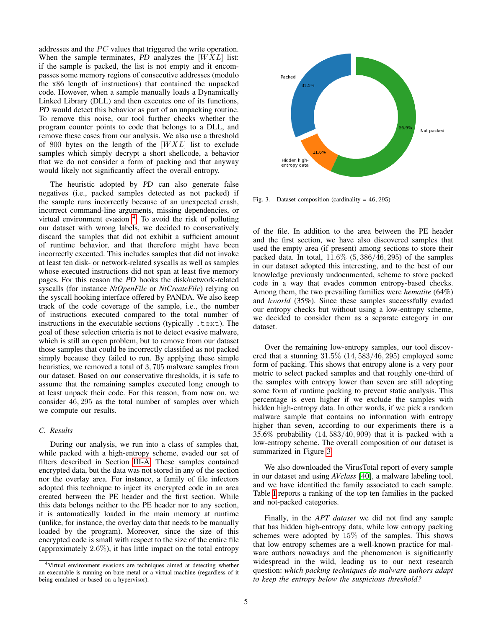addresses and the PC values that triggered the write operation. When the sample terminates, PD analyzes the  $[WXL]$  list: if the sample is packed, the list is not empty and it encompasses some memory regions of consecutive addresses (modulo the x86 length of instructions) that contained the unpacked code. However, when a sample manually loads a Dynamically Linked Library (DLL) and then executes one of its functions, PD would detect this behavior as part of an unpacking routine. To remove this noise, our tool further checks whether the program counter points to code that belongs to a DLL, and remove these cases from our analysis. We also use a threshold of 800 bytes on the length of the  $[WXL]$  list to exclude samples which simply decrypt a short shellcode, a behavior that we do not consider a form of packing and that anyway would likely not significantly affect the overall entropy.

The heuristic adopted by PD can also generate false negatives (i.e., packed samples detected as not packed) if the sample runs incorrectly because of an unexpected crash, incorrect command-line arguments, missing dependencies, or virtual environment evasion <sup>[4](#page-4-0)</sup>. To avoid the risk of polluting our dataset with wrong labels, we decided to conservatively discard the samples that did not exhibit a sufficient amount of runtime behavior, and that therefore might have been incorrectly executed. This includes samples that did not invoke at least ten disk- or network-related syscalls as well as samples whose executed instructions did not span at least five memory pages. For this reason the PD hooks the disk/network-related syscalls (for instance *NtOpenFile* or *NtCreateFile*) relying on the syscall hooking interface offered by PANDA. We also keep track of the code coverage of the sample, i.e., the number of instructions executed compared to the total number of instructions in the executable sections (typically .text). The goal of these selection criteria is not to detect evasive malware, which is still an open problem, but to remove from our dataset those samples that could be incorrectly classified as not packed simply because they failed to run. By applying these simple heuristics, we removed a total of 3, 705 malware samples from our dataset. Based on our conservative thresholds, it is safe to assume that the remaining samples executed long enough to at least unpack their code. For this reason, from now on, we consider 46, 295 as the total number of samples over which we compute our results.

## *C. Results*

During our analysis, we run into a class of samples that, while packed with a high-entropy scheme, evaded our set of filters described in Section [III-A.](#page-3-5) These samples contained encrypted data, but the data was not stored in any of the section nor the overlay area. For instance, a family of file infectors adopted this technique to inject its encrypted code in an area created between the PE header and the first section. While this data belongs neither to the PE header nor to any section, it is automatically loaded in the main memory at runtime (unlike, for instance, the overlay data that needs to be manually loaded by the program). Moreover, since the size of this encrypted code is small with respect to the size of the entire file (approximately 2.6%), it has little impact on the total entropy



<span id="page-4-1"></span>Fig. 3. Dataset composition (cardinality =  $46, 295$ )

of the file. In addition to the area between the PE header and the first section, we have also discovered samples that used the empty area (if present) among sections to store their packed data. In total,  $11.6\%$  (5, 386/46, 295) of the samples in our dataset adopted this interesting, and to the best of our knowledge previously undocumented, scheme to store packed code in a way that evades common entropy-based checks. Among them, the two prevailing families were *hematite* (64%) and *hworld* (35%). Since these samples successfully evaded our entropy checks but without using a low-entropy scheme, we decided to consider them as a separate category in our dataset.

Over the remaining low-entropy samples, our tool discovered that a stunning 31.5% (14, 583/46, 295) employed some form of packing. This shows that entropy alone is a very poor metric to select packed samples and that roughly one-third of the samples with entropy lower than seven are still adopting some form of runtime packing to prevent static analysis. This percentage is even higher if we exclude the samples with hidden high-entropy data. In other words, if we pick a random malware sample that contains no information with entropy higher than seven, according to our experiments there is a 35.6% probability (14, 583/40, 909) that it is packed with a low-entropy scheme. The overall composition of our dataset is summarized in Figure [3.](#page-4-1)

We also downloaded the VirusTotal report of every sample in our dataset and using *AVclass* [\[40\]](#page-14-20), a malware labeling tool, and we have identified the family associated to each sample. Table [I](#page-5-1) reports a ranking of the top ten families in the packed and not-packed categories.

Finally, in the *APT dataset* we did not find any sample that has hidden high-entropy data, while low entropy packing schemes were adopted by 15% of the samples. This shows that low entropy schemes are a well-known practice for malware authors nowadays and the phenomenon is significantly widespread in the wild, leading us to our next research question: *which packing techniques do malware authors adapt to keep the entropy below the suspicious threshold?*

<span id="page-4-0"></span><sup>4</sup>Virtual environment evasions are techniques aimed at detecting whether an executable is running on bare-metal or a virtual machine (regardless of it being emulated or based on a hypervisor).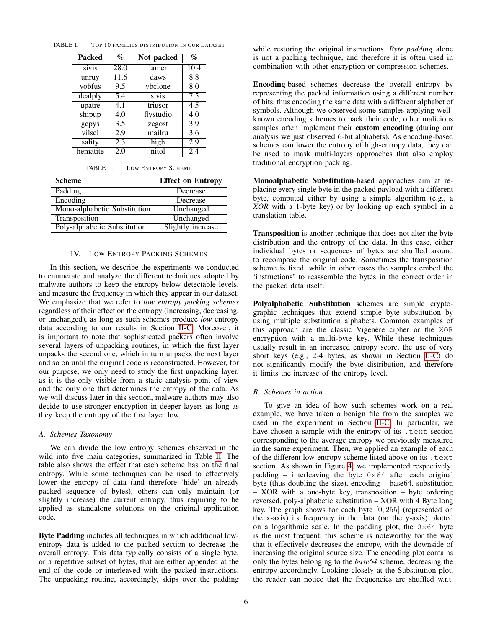<span id="page-5-1"></span>

| <b>Packed</b> | $\%$ | Not packed | $\%$ |
|---------------|------|------------|------|
| sivis         | 28.0 | lamer      | 10.4 |
| unruy         | 11.6 | daws       | 8.8  |
| vobfus        | 9.5  | vbclone    | 8.0  |
| dealply       | 5.4  | sivis      | 7.5  |
| upatre        | 4.1  | triusor    | 4.5  |
| shipup        | 4.0  | flystudio  | 4.0  |
| gepys         | 3.5  | zegost     | 3.9  |
| vilsel        | 2.9  | mailru     | 3.6  |
| sality        | 2.3  | high       | 2.9  |
| hematite      | 2.0  | nitol      | 2.4  |

TABLE I. TOP 10 FAMILIES DISTRIBUTION IN OUR DATASET

<span id="page-5-2"></span>

| TABLE II. | <b>LOW ENTROPY SCHEME</b> |  |
|-----------|---------------------------|--|
|           |                           |  |

| <b>Scheme</b>                | <b>Effect on Entropy</b> |
|------------------------------|--------------------------|
| Padding                      | Decrease                 |
| Encoding                     | Decrease                 |
| Mono-alphabetic Substitution | Unchanged                |
| Transposition                | Unchanged                |
| Poly-alphabetic Substitution | Slightly increase        |

## IV. LOW ENTROPY PACKING SCHEMES

<span id="page-5-0"></span>In this section, we describe the experiments we conducted to enumerate and analyze the different techniques adopted by malware authors to keep the entropy below detectable levels, and measure the frequency in which they appear in our dataset. We emphasize that we refer to *low entropy packing schemes* regardless of their effect on the entropy (increasing, decreasing, or unchanged), as long as such schemes produce *low* entropy data according to our results in Section [II-C.](#page-2-1) Moreover, it is important to note that sophisticated packers often involve several layers of unpacking routines, in which the first layer unpacks the second one, which in turn unpacks the next layer and so on until the original code is reconstructed. However, for our purpose, we only need to study the first unpacking layer, as it is the only visible from a static analysis point of view and the only one that determines the entropy of the data. As we will discuss later in this section, malware authors may also decide to use stronger encryption in deeper layers as long as they keep the entropy of the first layer low.

## *A. Schemes Taxonomy*

We can divide the low entropy schemes observed in the wild into five main categories, summarized in Table [II.](#page-5-2) The table also shows the effect that each scheme has on the final entropy. While some techniques can be used to effectively lower the entropy of data (and therefore 'hide' an already packed sequence of bytes), others can only maintain (or slightly increase) the current entropy, thus requiring to be applied as standalone solutions on the original application code.

Byte Padding includes all techniques in which additional lowentropy data is added to the packed section to decrease the overall entropy. This data typically consists of a single byte, or a repetitive subset of bytes, that are either appended at the end of the code or interleaved with the packed instructions. The unpacking routine, accordingly, skips over the padding while restoring the original instructions. *Byte padding* alone is not a packing technique, and therefore it is often used in combination with other encryption or compression schemes.

Encoding-based schemes decrease the overall entropy by representing the packed information using a different number of bits, thus encoding the same data with a different alphabet of symbols. Although we observed some samples applying wellknown encoding schemes to pack their code, other malicious samples often implement their custom encoding (during our analysis we just observed 6-bit alphabets). As encoding-based schemes can lower the entropy of high-entropy data, they can be used to mask multi-layers approaches that also employ traditional encryption packing.

Monoalphabetic Substitution-based approaches aim at replacing every single byte in the packed payload with a different byte, computed either by using a simple algorithm (e.g., a *XOR* with a 1-byte key) or by looking up each symbol in a translation table.

Transposition is another technique that does not alter the byte distribution and the entropy of the data. In this case, either individual bytes or sequences of bytes are shuffled around to recompose the original code. Sometimes the transposition scheme is fixed, while in other cases the samples embed the 'instructions' to reassemble the bytes in the correct order in the packed data itself.

Polyalphabetic Substitution schemes are simple cryptographic techniques that extend simple byte substitution by using multiple substitution alphabets. Common examples of this approach are the classic Vigenère cipher or the XOR encryption with a multi-byte key. While these techniques usually result in an increased entropy score, the use of very short keys (e.g., 2-4 bytes, as shown in Section [II-C\)](#page-2-1) do not significantly modify the byte distribution, and therefore it limits the increase of the entropy level.

## *B. Schemes in action*

To give an idea of how such schemes work on a real example, we have taken a benign file from the samples we used in the experiment in Section [II-C.](#page-2-1) In particular, we have chosen a sample with the entropy of its .text section corresponding to the average entropy we previously measured in the same experiment. Then, we applied an example of each of the different low-entropy scheme listed above on its .text section. As shown in Figure [4,](#page-6-0) we implemented respectively: padding – interleaving the byte  $0 \times 64$  after each original byte (thus doubling the size), encoding – base64, substitution – XOR with a one-byte key, transposition – byte ordering reversed, poly-alphabetic substitution – XOR with 4 Byte long key. The graph shows for each byte [0, 255] (represented on the x-axis) its frequency in the data (on the y-axis) plotted on a logarithmic scale. In the padding plot, the  $0 \times 64$  byte is the most frequent; this scheme is noteworthy for the way that it effectively decreases the entropy, with the downside of increasing the original source size. The encoding plot contains only the bytes belonging to the *base64* scheme, decreasing the entropy accordingly. Looking closely at the Substitution plot, the reader can notice that the frequencies are shuffled w.r.t.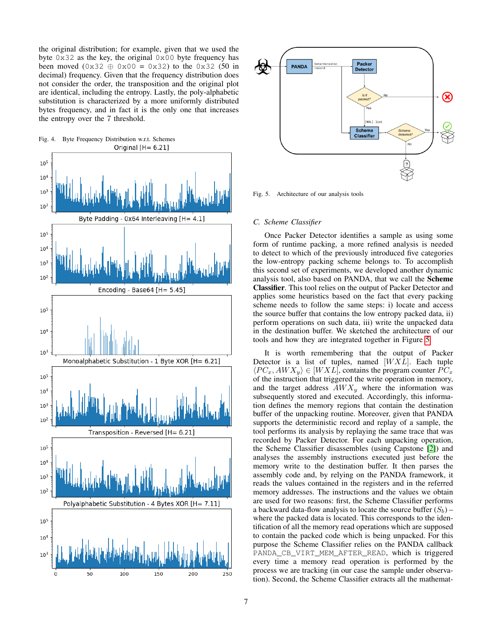the original distribution; for example, given that we used the byte  $0 \times 32$  as the key, the original  $0 \times 00$  byte frequency has been moved  $(0x32 \oplus 0x00 = 0x32)$  to the 0x32 (50 in decimal) frequency. Given that the frequency distribution does not consider the order, the transposition and the original plot are identical, including the entropy. Lastly, the poly-alphabetic substitution is characterized by a more uniformly distributed bytes frequency, and in fact it is the only one that increases the entropy over the 7 threshold.

<span id="page-6-0"></span>



<span id="page-6-1"></span>Fig. 5. Architecture of our analysis tools

## *C. Scheme Classifier*

Once Packer Detector identifies a sample as using some form of runtime packing, a more refined analysis is needed to detect to which of the previously introduced five categories the low-entropy packing scheme belongs to. To accomplish this second set of experiments, we developed another dynamic analysis tool, also based on PANDA, that we call the Scheme Classifier. This tool relies on the output of Packer Detector and applies some heuristics based on the fact that every packing scheme needs to follow the same steps: i) locate and access the source buffer that contains the low entropy packed data, ii) perform operations on such data, iii) write the unpacked data in the destination buffer. We sketched the architecture of our tools and how they are integrated together in Figure [5.](#page-6-1)

It is worth remembering that the output of Packer Detector is a list of tuples, named  $[WXL]$ . Each tuple  $\langle PC_x, AWX_y \rangle \in [WXL]$ , contains the program counter  $PC_x$ of the instruction that triggered the write operation in memory, and the target address  $AWX_y$  where the information was subsequently stored and executed. Accordingly, this information defines the memory regions that contain the destination buffer of the unpacking routine. Moreover, given that PANDA supports the deterministic record and replay of a sample, the tool performs its analysis by replaying the same trace that was recorded by Packer Detector. For each unpacking operation, the Scheme Classifier disassembles (using Capstone [\[2\]](#page-13-13)) and analyses the assembly instructions executed just before the memory write to the destination buffer. It then parses the assembly code and, by relying on the PANDA framework, it reads the values contained in the registers and in the referred memory addresses. The instructions and the values we obtain are used for two reasons: first, the Scheme Classifier performs a backward data-flow analysis to locate the source buffer  $(S_b)$  – where the packed data is located. This corresponds to the identification of all the memory read operations which are supposed to contain the packed code which is being unpacked. For this purpose the Scheme Classifier relies on the PANDA callback PANDA\_CB\_VIRT\_MEM\_AFTER\_READ, which is triggered every time a memory read operation is performed by the process we are tracking (in our case the sample under observation). Second, the Scheme Classifier extracts all the mathemat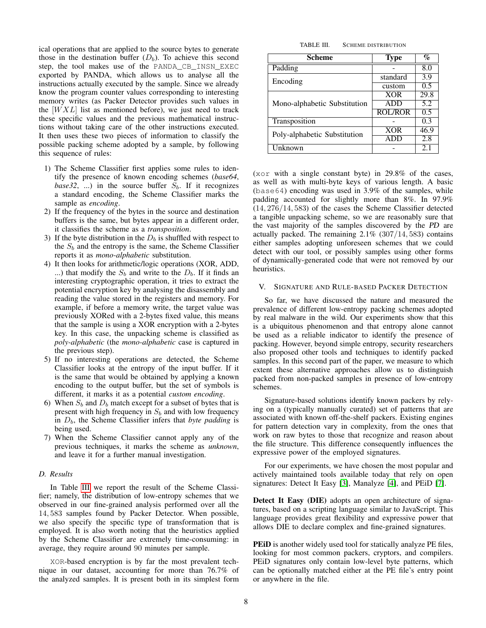ical operations that are applied to the source bytes to generate those in the destination buffer  $(D_b)$ . To achieve this second step, the tool makes use of the PANDA\_CB\_INSN\_EXEC exported by PANDA, which allows us to analyse all the instructions actually executed by the sample. Since we already know the program counter values corresponding to interesting memory writes (as Packer Detector provides such values in the  $[WXL]$  list as mentioned before), we just need to track these specific values and the previous mathematical instructions without taking care of the other instructions executed. It then uses these two pieces of information to classify the possible packing scheme adopted by a sample, by following this sequence of rules:

- 1) The Scheme Classifier first applies some rules to identify the presence of known encoding schemes (*base64*, *base32*, ...) in the source buffer  $S_b$ . If it recognizes a standard encoding, the Scheme Classifier marks the sample as *encoding*.
- 2) If the frequency of the bytes in the source and destination buffers is the same, but bytes appear in a different order, it classifies the scheme as a *transposition*.
- 3) If the byte distribution in the  $D<sub>b</sub>$  is shuffled with respect to the  $S_b$  and the entropy is the same, the Scheme Classifier reports it as *mono-alphabetic* substitution.
- 4) It then looks for arithmetic/logic operations (XOR, ADD, ...) that modify the  $S_b$  and write to the  $D_b$ . If it finds an interesting cryptographic operation, it tries to extract the potential encryption key by analysing the disassembly and reading the value stored in the registers and memory. For example, if before a memory write, the target value was previously XORed with a 2-bytes fixed value, this means that the sample is using a XOR encryption with a 2-bytes key. In this case, the unpacking scheme is classified as *poly-alphabetic* (the *mono-alphabetic* case is captured in the previous step).
- 5) If no interesting operations are detected, the Scheme Classifier looks at the entropy of the input buffer. If it is the same that would be obtained by applying a known encoding to the output buffer, but the set of symbols is different, it marks it as a potential *custom encoding*.
- 6) When  $S_b$  and  $D_b$  match except for a subset of bytes that is present with high frequency in  $S_b$  and with low frequency in  $D<sub>b</sub>$ , the Scheme Classifier infers that *byte padding* is being used.
- 7) When the Scheme Classifier cannot apply any of the previous techniques, it marks the scheme as *unknown*, and leave it for a further manual investigation.

## *D. Results*

In Table [III](#page-7-1) we report the result of the Scheme Classifier; namely, the distribution of low-entropy schemes that we observed in our fine-grained analysis performed over all the 14, 583 samples found by Packer Detector. When possible, we also specify the specific type of transformation that is employed. It is also worth noting that the heuristics applied by the Scheme Classifier are extremely time-consuming: in average, they require around 90 minutes per sample.

XOR-based encryption is by far the most prevalent technique in our dataset, accounting for more than 76.7% of the analyzed samples. It is present both in its simplest form

<span id="page-7-1"></span>TABLE III. SCHEME DISTRIBUTION

| Scheme                       | <b>Type</b>    | $\overline{\mathbf{\%}}$ |
|------------------------------|----------------|--------------------------|
| Padding                      |                | 8.0                      |
| Encoding                     | standard       | 3.9                      |
|                              | custom         | 0.5                      |
|                              | <b>XOR</b>     | 29.8                     |
| Mono-alphabetic Substitution | <b>ADD</b>     | 5.2                      |
|                              | <b>ROL/ROR</b> | 0.5                      |
| Transposition                |                | 0.3                      |
| Poly-alphabetic Substitution | <b>XOR</b>     | 46.9                     |
|                              | <b>ADD</b>     | 2.8                      |
| Unknown                      |                | 2.1                      |

(xor with a single constant byte) in 29.8% of the cases, as well as with multi-byte keys of various length. A basic (base64) encoding was used in 3.9% of the samples, while padding accounted for slightly more than 8%. In 97.9% (14, 276/14, 583) of the cases the Scheme Classifier detected a tangible unpacking scheme, so we are reasonably sure that the vast majority of the samples discovered by the PD are actually packed. The remaining 2.1% (307/14, 583) contains either samples adopting unforeseen schemes that we could detect with our tool, or possibly samples using other forms of dynamically-generated code that were not removed by our heuristics.

#### <span id="page-7-0"></span>V. SIGNATURE AND RULE-BASED PACKER DETECTION

So far, we have discussed the nature and measured the prevalence of different low-entropy packing schemes adopted by real malware in the wild. Our experiments show that this is a ubiquitous phenomenon and that entropy alone cannot be used as a reliable indicator to identify the presence of packing. However, beyond simple entropy, security researchers also proposed other tools and techniques to identify packed samples. In this second part of the paper, we measure to which extent these alternative approaches allow us to distinguish packed from non-packed samples in presence of low-entropy schemes.

Signature-based solutions identify known packers by relying on a (typically manually curated) set of patterns that are associated with known off-the-shelf packers. Existing engines for pattern detection vary in complexity, from the ones that work on raw bytes to those that recognize and reason about the file structure. This difference consequently influences the expressive power of the employed signatures.

For our experiments, we have chosen the most popular and actively maintained tools available today that rely on open signatures: Detect It Easy [\[3\]](#page-13-4), Manalyze [\[4\]](#page-13-5), and PEiD [\[7\]](#page-13-6).

Detect It Easy (DIE) adopts an open architecture of signatures, based on a scripting language similar to JavaScript. This language provides great flexibility and expressive power that allows DIE to declare complex and fine-grained signatures.

PEiD is another widely used tool for statically analyze PE files, looking for most common packers, cryptors, and compilers. PEiD signatures only contain low-level byte patterns, which can be optionally matched either at the PE file's entry point or anywhere in the file.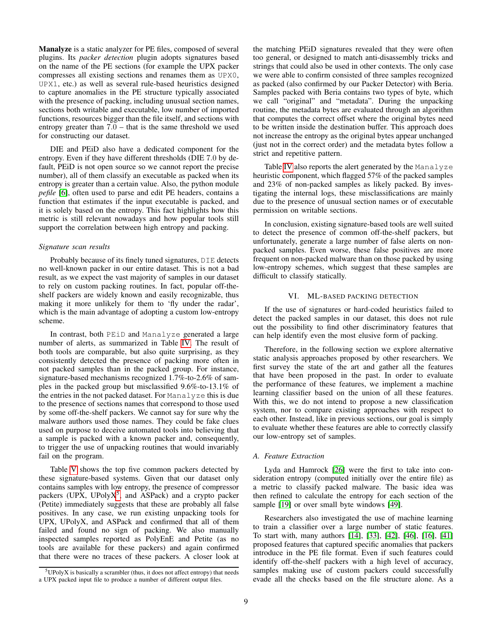Manalyze is a static analyzer for PE files, composed of several plugins. Its *packer detection* plugin adopts signatures based on the name of the PE sections (for example the UPX packer compresses all existing sections and renames them as UPX0, UPX1, etc.) as well as several rule-based heuristics designed to capture anomalies in the PE structure typically associated with the presence of packing, including unusual section names, sections both writable and executable, low number of imported functions, resources bigger than the file itself, and sections with entropy greater than 7.0 – that is the same threshold we used for constructing our dataset.

DIE and PEiD also have a dedicated component for the entropy. Even if they have different thresholds (DIE 7.0 by default, PEiD is not open source so we cannot report the precise number), all of them classify an executable as packed when its entropy is greater than a certain value. Also, the python module *pefile* [\[6\]](#page-13-10), often used to parse and edit PE headers, contains a function that estimates if the input executable is packed, and it is solely based on the entropy. This fact highlights how this metric is still relevant nowadays and how popular tools still support the correlation between high entropy and packing.

## *Signature scan results*

Probably because of its finely tuned signatures, DIE detects no well-known packer in our entire dataset. This is not a bad result, as we expect the vast majority of samples in our dataset to rely on custom packing routines. In fact, popular off-theshelf packers are widely known and easily recognizable, thus making it more unlikely for them to 'fly under the radar', which is the main advantage of adopting a custom low-entropy scheme.

In contrast, both PEiD and Manalyze generated a large number of alerts, as summarized in Table [IV.](#page-9-0) The result of both tools are comparable, but also quite surprising, as they consistently detected the presence of packing more often in not packed samples than in the packed group. For instance, signature-based mechanisms recognized 1.7%-to-2.6% of samples in the packed group but misclassified 9.6%-to-13.1% of the entries in the not packed dataset. For Manalyze this is due to the presence of sections names that correspond to those used by some off-the-shelf packers. We cannot say for sure why the malware authors used those names. They could be fake clues used on purpose to deceive automated tools into believing that a sample is packed with a known packer and, consequently, to trigger the use of unpacking routines that would invariably fail on the program.

Table [V](#page-9-1) shows the top five common packers detected by these signature-based systems. Given that our dataset only contains samples with low entropy, the presence of compressor packers (UPX, UPoly $X^5$  $X^5$ , and ASPack) and a crypto packer (Petite) immediately suggests that these are probably all false positives. In any case, we run existing unpacking tools for UPX, UPolyX, and ASPack and confirmed that all of them failed and found no sign of packing. We also manually inspected samples reported as PolyEnE and Petite (as no tools are available for these packers) and again confirmed that there were no traces of these packers. A closer look at the matching PEiD signatures revealed that they were often too general, or designed to match anti-disassembly tricks and strings that could also be used in other contexts. The only case we were able to confirm consisted of three samples recognized as packed (also confirmed by our Packer Detector) with Beria. Samples packed with Beria contains two types of byte, which we call "original" and "metadata". During the unpacking routine, the metadata bytes are evaluated through an algorithm that computes the correct offset where the original bytes need to be written inside the destination buffer. This approach does not increase the entropy as the original bytes appear unchanged (just not in the correct order) and the metadata bytes follow a strict and repetitive pattern.

Table [IV](#page-9-0) also reports the alert generated by the Manalyze heuristic component, which flagged 57% of the packed samples and 23% of non-packed samples as likely packed. By investigating the internal logs, these misclassifications are mainly due to the presence of unusual section names or of executable permission on writable sections.

In conclusion, existing signature-based tools are well suited to detect the presence of common off-the-shelf packers, but unfortunately, generate a large number of false alerts on nonpacked samples. Even worse, these false positives are more frequent on non-packed malware than on those packed by using low-entropy schemes, which suggest that these samples are difficult to classify statically.

# VI. ML-BASED PACKING DETECTION

<span id="page-8-0"></span>If the use of signatures or hard-coded heuristics failed to detect the packed samples in our dataset, this does not rule out the possibility to find other discriminatory features that can help identify even the most elusive form of packing.

Therefore, in the following section we explore alternative static analysis approaches proposed by other researchers. We first survey the state of the art and gather all the features that have been proposed in the past. In order to evaluate the performance of these features, we implement a machine learning classifier based on the union of all these features. With this, we do not intend to propose a new classification system, nor to compare existing approaches with respect to each other. Instead, like in previous sections, our goal is simply to evaluate whether these features are able to correctly classify our low-entropy set of samples.

## *A. Feature Extraction*

Lyda and Hamrock [\[26\]](#page-14-7) were the first to take into consideration entropy (computed initially over the entire file) as a metric to classify packed malware. The basic idea was then refined to calculate the entropy for each section of the sample [\[19\]](#page-13-3) or over small byte windows [\[49\]](#page-14-8).

Researchers also investigated the use of machine learning to train a classifier over a large number of static features. To start with, many authors [\[14\]](#page-13-14), [\[33\]](#page-14-9), [\[42\]](#page-14-21), [\[46\]](#page-14-22), [\[16\]](#page-13-15), [\[41\]](#page-14-23) proposed features that captured specific anomalies that packers introduce in the PE file format. Even if such features could identify off-the-shelf packers with a high level of accuracy, samples making use of custom packers could successfully evade all the checks based on the file structure alone. As a

<span id="page-8-1"></span> $5$ UPolyX is basically a scrambler (thus, it does not affect entropy) that needs a UPX packed input file to produce a number of different output files.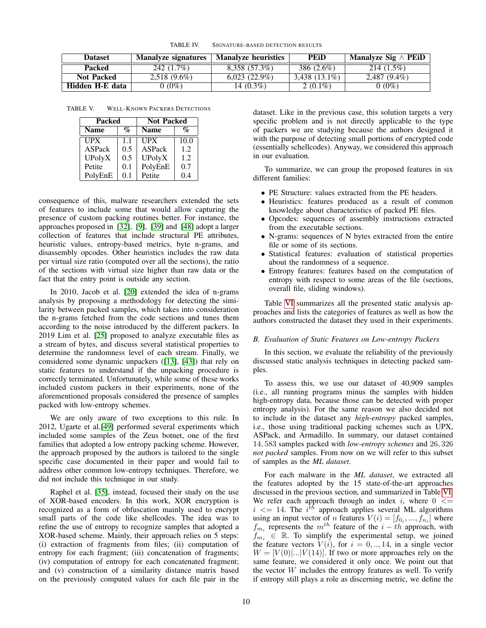<span id="page-9-0"></span>

| Dataset           | Manalyze signatures | <b>Manalyze heuristics</b> | <b>PEID</b>     | Manalyze Sig $\wedge$ PEiD |
|-------------------|---------------------|----------------------------|-----------------|----------------------------|
| Packed            | 242 (1.7%)          | 8,358 (57.3%)              | 386 (2.6%)      | $214(1.5\%)$               |
| <b>Not Packed</b> | $2,518(9.6\%)$      | $6,023(22.9\%)$            | $3,438$ (13.1%) | 2,487 (9.4%)               |
| Hidden H-E data   | $0(0\%)$            | 14 $(0.3\%)$               | 2 $(0.1\%)$     | $0(0\%)$                   |

TABLE V. WELL-KNOWN PACKERS DETECTIONS

<span id="page-9-1"></span>

| Packed      |                           | <b>Not Packed</b>             |      |  |
|-------------|---------------------------|-------------------------------|------|--|
| <b>Name</b> | $\mathcal{O}_\mathcal{D}$ | $\mathbf{q}_o$<br><b>Name</b> |      |  |
| <b>UPX</b>  | 1.1                       | <b>UPX</b>                    | 10.0 |  |
| ASPack      | 0.5                       | ASPack                        | 1.2  |  |
| UPolyX      | 0.5                       | UPolyX                        | 1.2  |  |
| Petite      | 0.1                       | PolyEnE                       | 0.7  |  |
| PolyEnE     | 0.1                       | Petite                        | 0.4  |  |

consequence of this, malware researchers extended the sets of features to include some that would allow capturing the presence of custom packing routines better. For instance, the approaches proposed in [\[32\]](#page-14-18), [\[9\]](#page-13-16), [\[39\]](#page-14-10) and [\[48\]](#page-14-11) adopt a larger collection of features that include structural PE attributes, heuristic values, entropy-based metrics, byte n-grams, and disassembly opcodes. Other heuristics includes the raw data per virtual size ratio (computed over all the sections), the ratio of the sections with virtual size higher than raw data or the fact that the entry point is outside any section.

In 2010, Jacob et al. [\[20\]](#page-14-24) extended the idea of n-grams analysis by proposing a methodology for detecting the similarity between packed samples, which takes into consideration the n-grams fetched from the code sections and tunes them according to the noise introduced by the different packers. In 2019 Lim et al. [\[25\]](#page-14-25) proposed to analyze executable files as a stream of bytes, and discuss several statistical properties to determine the randomness level of each stream. Finally, we considered some dynamic unpackers ([\[13\]](#page-13-17), [\[43\]](#page-14-26)) that rely on static features to understand if the unpacking procedure is correctly terminated. Unfortunately, while some of these works included custom packers in their experiments, none of the aforementioned proposals considered the presence of samples packed with low-entropy schemes.

We are only aware of two exceptions to this rule. In 2012, Ugarte et al.[\[49\]](#page-14-8) performed several experiments which included some samples of the Zeus botnet, one of the first families that adopted a low entropy packing scheme. However, the approach proposed by the authors is tailored to the single specific case documented in their paper and would fail to address other common low-entropy techniques. Therefore, we did not include this technique in our study.

Raphel et al. [\[35\]](#page-14-27), instead, focused their study on the use of XOR-based encoders. In this work, XOR encryption is recognized as a form of obfuscation mainly used to encrypt small parts of the code like shellcodes. The idea was to refine the use of entropy to recognize samples that adopted a XOR-based scheme. Mainly, their approach relies on 5 steps: (i) extraction of fragments from files; (ii) computation of entropy for each fragment; (iii) concatenation of fragments; (iv) computation of entropy for each concatenated fragment; and (v) construction of a similarity distance matrix based on the previously computed values for each file pair in the dataset. Like in the previous case, this solution targets a very specific problem and is not directly applicable to the type of packers we are studying because the authors designed it with the purpose of detecting small portions of encrypted code (essentially schellcodes). Anyway, we considered this approach in our evaluation.

To summarize, we can group the proposed features in six different families:

- PE Structure: values extracted from the PE headers.
- Heuristics: features produced as a result of common knowledge about characteristics of packed PE files.
- Opcodes: sequences of assembly instructions extracted from the executable sections.
- N-grams: sequences of N bytes extracted from the entire file or some of its sections.
- Statistical features: evaluation of statistical properties about the randomness of a sequence.
- Entropy features: features based on the computation of entropy with respect to some areas of the file (sections, overall file, sliding windows).

Table [VI](#page-10-0) summarizes all the presented static analysis approaches and lists the categories of features as well as how the authors constructed the dataset they used in their experiments.

## *B. Evaluation of Static Features on Low-entropy Packers*

In this section, we evaluate the reliability of the previously discussed static analysis techniques in detecting packed samples.

To assess this, we use our dataset of 40,909 samples (i.e., all running programs minus the samples with hidden high-entropy data, because those can be detected with proper entropy analysis). For the same reason we also decided not to include in the dataset any *high-entropy* packed samples, i.e., those using traditional packing schemes such as UPX, ASPack, and Armadillo. In summary, our dataset contained 14, 583 samples packed with *low-entropy schemes* and 26, 326 *not packed* samples. From now on we will refer to this subset of samples as the *ML dataset*.

For each malware in the *ML dataset*, we extracted all the features adopted by the 15 state-of-the-art approaches discussed in the previous section, and summarized in Table [VI.](#page-10-0) We refer each approach through an index i, where  $0 \le$  $i \leq 14$ . The  $i^{t\hbar}$  approach applies several ML algorithms using an input vector of *n* features  $V(i) = [f_{0_i}, ..., f_{n_i}]$  where  $f_{m_i}$  represents the  $m^{th}$  feature of the  $i - th$  approach, with  $f_{m_i} \in \mathbb{R}$ . To simplify the experimental setup, we joined the feature vectors  $V(i)$ , for  $i = 0, \dots, 14$ , in a single vector  $W = [V(0)|...|V(14)]$ . If two or more approaches rely on the same feature, we considered it only once. We point out that the vector  $W$  includes the entropy features as well. To verify if entropy still plays a role as discerning metric, we define the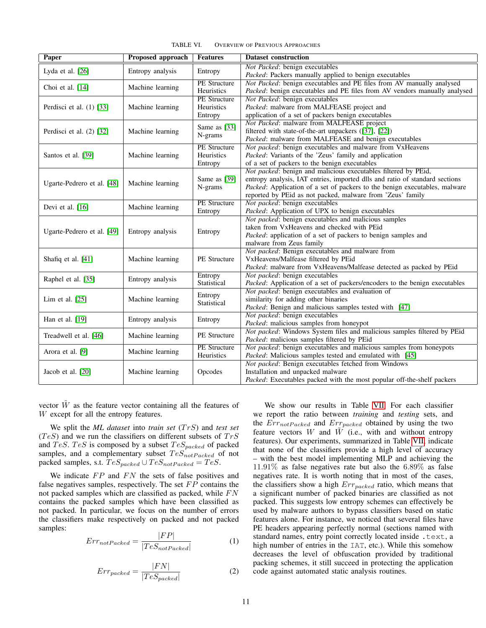| <b>Paper</b>               | <b>Proposed approach</b> | <b>Features</b>                              | <b>Dataset construction</b>                                                                                                                                                                                                                                                               |
|----------------------------|--------------------------|----------------------------------------------|-------------------------------------------------------------------------------------------------------------------------------------------------------------------------------------------------------------------------------------------------------------------------------------------|
| Lyda et al. $[26]$         | Entropy analysis         | Entropy                                      | Not Packed: benign executables<br>Packed: Packers manually applied to benign executables                                                                                                                                                                                                  |
| Choi et al. [14]           | Machine learning         | <b>PE</b> Structure<br>Heuristics            | Not Packed: benign executables and PE files from AV manually analysed<br>Packed: benign executables and PE files from AV vendors manually analysed                                                                                                                                        |
| Perdisci et al. (1) [33]   | Machine learning         | <b>PE</b> Structure<br>Heuristics<br>Entropy | Not Packed: benign executables<br>Packed: malware from MALFEASE project and<br>application of a set of packers benign executables                                                                                                                                                         |
| Perdisci et al. $(2)$ [32] | Machine learning         | Same as [33]<br>N-grams                      | Not Packed: malware from MALFEASE project<br>filtered with state-of-the-art unpackers ([37], [22])<br>Packed: malware from MALFEASE and benign executables                                                                                                                                |
| Santos et al. [39]         | Machine learning         | <b>PE</b> Structure<br>Heuristics<br>Entropy | Not packed: benign executables and malware from VxHeavens<br>Packed: Variants of the 'Zeus' family and application<br>of a set of packers to the benign executables                                                                                                                       |
| Ugarte-Pedrero et al. [48] | Machine learning         | Same as [39]<br>N-grams                      | Not packed: benign and malicious executables filtered by PEid,<br>entropy analysis, IAT entries, imported dlls and ratio of standard sections<br>Packed: Application of a set of packers to the benign executables, malware<br>reported by PEid as not packed, malware from 'Zeus' family |
| Devi et al. [16]           | Machine learning         | <b>PE</b> Structure<br>Entropy               | Not packed: benign executables<br>Packed: Application of UPX to benign executables                                                                                                                                                                                                        |
| Ugarte-Pedrero et al. [49] | Entropy analysis         | Entropy                                      | Not packed: benign executables and malicious samples<br>taken from VxHeavens and checked with PEid<br><i>Packed:</i> application of a set of packers to benign samples and<br>malware from Zeus family                                                                                    |
| Shafiq et al. [41]         | Machine learning         | <b>PE</b> Structure                          | Not packed: Benign executables and malware from<br>VxHeavens/Malfease filtered by PEid<br>Packed: malware from VxHeavens/Malfease detected as packed by PEid                                                                                                                              |
| Raphel et al. [35]         | Entropy analysis         | Entropy<br>Statistical                       | Not packed: benign executables<br>Packed: Application of a set of packers/encoders to the benign executables                                                                                                                                                                              |
| Lim et al. $[25]$          | Machine learning         | Entropy<br>Statistical                       | Not packed: benign executables and evaluation of<br>similarity for adding other binaries<br>Packed: Benign and malicious samples tested with [47]                                                                                                                                         |
| Han et al. [19]            | Entropy analysis         | Entropy                                      | Not packed: benign executables<br>Packed: malicious samples from honeypot                                                                                                                                                                                                                 |
| Treadwell et al. [46]      | Machine learning         | PE Structure                                 | Not packed: Windows System files and malicious samples filtered by PEid<br>Packed: malicious samples filtered by PEid                                                                                                                                                                     |
| Arora et al. [9]           | Machine learning         | <b>PE</b> Structure<br>Heuristics            | Not packed: benign executables and malicious samples from honeypots<br>Packed: Malicious samples tested and emulated with [45]                                                                                                                                                            |
| Jacob et al. [20]          | Machine learning         | Opcodes                                      | Not packed: Benign executables fetched from Windows<br>Installation and unpacked malware<br>Packed: Executables packed with the most popular off-the-shelf packers                                                                                                                        |

<span id="page-10-0"></span>TABLE VI. OVERVIEW OF PREVIOUS APPROACHES

vector  $\tilde{W}$  as the feature vector containing all the features of W except for all the entropy features.

We split the *ML dataset* into *train set* (TrS) and *test set*  $(T eS)$  and we run the classifiers on different subsets of  $Tr S$ and TeS. TeS is composed by a subset  $TeS_{packet}$  of packed samples, and a complementary subset  $TeS_{notPacket}$  of not packed samples, s.t.  $TeS_{packet} \cup TeS_{notPacked} = TeS$ .

We indicate  $FP$  and  $FN$  the sets of false positives and false negatives samples, respectively. The set  $FP$  contains the not packed samples which are classified as packed, while  $FN$ contains the packed samples which have been classified as not packed. In particular, we focus on the number of errors the classifiers make respectively on packed and not packed samples:

$$
Err_{notPacked} = \frac{|FP|}{|TeS_{notPacked}|}
$$
 (1)

$$
Err_{packet} = \frac{|FN|}{|TeS_{packet}|}
$$
 (2)

We show our results in Table [VII.](#page-11-0) For each classifier we report the ratio between *training* and *testing* sets, and the  $Err_{notPacked}$  and  $Err_{packet}$  obtained by using the two feature vectors W and  $\tilde{W}$  (i.e., with and without entropy features). Our experiments, summarized in Table [VII,](#page-11-0) indicate that none of the classifiers provide a high level of accuracy – with the best model implementing MLP and achieving the 11.91% as false negatives rate but also the 6.89% as false negatives rate. It is worth noting that in most of the cases, the classifiers show a high  $Err_{packet}$  ratio, which means that a significant number of packed binaries are classified as not packed. This suggests low entropy schemes can effectively be used by malware authors to bypass classifiers based on static features alone. For instance, we noticed that several files have PE headers appearing perfectly normal (sections named with standard names, entry point correctly located inside . text, a high number of entries in the IAT, etc.). While this somehow decreases the level of obfuscation provided by traditional packing schemes, it still succeed in protecting the application code against automated static analysis routines.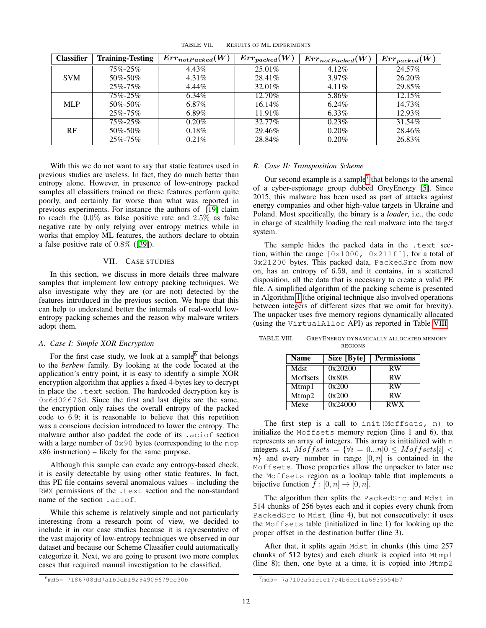| <b>Classifier</b> | <b>Training-Testing</b> | $Err_{notPacked}(W)$ | $Err_{packet}(W)$ | $Error_{notPacked}(\tilde{W})$ | $Err_{packet}(W)$ |
|-------------------|-------------------------|----------------------|-------------------|--------------------------------|-------------------|
|                   | 75%-25%                 | 4.43%                | $25.01\%$         | 4.12%                          | 24.57%            |
| <b>SVM</b>        | 50\%-50\%               | $4.31\%$             | $28.41\%$         | $3.97\%$                       | 26.20%            |
|                   | $25\% - 75\%$           | $4.44\%$             | 32.01\%           | $4.11\%$                       | 29.85%            |
|                   | $75\% - 25\%$           | 6.34%                | 12.70%            | 5.86%                          | $12.15\%$         |
| <b>MLP</b>        | 50\%-50\%               | $6.87\%$             | $16.14\%$         | $6.24\%$                       | 14.73%            |
|                   | $25\% - 75\%$           | $6.89\%$             | $11.91\%$         | $6.33\%$                       | 12.93%            |
|                   | 75%-25%                 | $0.20\%$             | 32.77%            | $0.23\%$                       | 31.54%            |
| RF                | 50\%-50\%               | 0.18%                | 29.46%            | 0.20%                          | 28.46%            |
|                   | $25\% - 75\%$           | $0.21\%$             | 28.84%            | $0.20\%$                       | 26.83%            |

<span id="page-11-0"></span>TABLE VII. RESULTS OF ML EXPERIMENTS

With this we do not want to say that static features used in previous studies are useless. In fact, they do much better than entropy alone. However, in presence of low-entropy packed samples all classifiers trained on these features perform quite poorly, and certainly far worse than what was reported in previous experiments. For instance the authors of [\[19\]](#page-13-3) claim to reach the  $0.0\%$  as false positive rate and  $2.5\%$  as false negative rate by only relying over entropy metrics while in works that employ ML features, the authors declare to obtain a false positive rate of 0.8% ([\[39\]](#page-14-10)).

## VII. CASE STUDIES

In this section, we discuss in more details three malware samples that implement low entropy packing techniques. We also investigate why they are (or are not) detected by the features introduced in the previous section. We hope that this can help to understand better the internals of real-world lowentropy packing schemes and the reason why malware writers adopt them.

## *A. Case I: Simple XOR Encryption*

For the first case study, we look at a sample<sup>[6](#page-11-1)</sup> that belongs to the *berbew* family. By looking at the code located at the application's entry point, it is easy to identify a simple XOR encryption algorithm that applies a fixed 4-bytes key to decrypt in place the .text section. The hardcoded decryption key is 0x6d02676d. Since the first and last digits are the same, the encryption only raises the overall entropy of the packed code to 6.9; it is reasonable to believe that this repetition was a conscious decision introduced to lower the entropy. The malware author also padded the code of its .aciof section with a large number of  $0 \times 90$  bytes (corresponding to the nop x86 instruction) – likely for the same purpose.

Although this sample can evade any entropy-based check, it is easily detectable by using other static features. In fact, this PE file contains several anomalous values – including the RWX permissions of the .text section and the non-standard name of the section .aciof.

While this scheme is relatively simple and not particularly interesting from a research point of view, we decided to include it in our case studies because it is representative of the vast majority of low-entropy techniques we observed in our dataset and because our Scheme Classifier could automatically categorize it. Next, we are going to present two more complex cases that required manual investigation to be classified.

#### *B. Case II: Transposition Scheme*

Our second example is a sample<sup>[7](#page-11-2)</sup> that belongs to the arsenal of a cyber-espionage group dubbed GreyEnergy [\[5\]](#page-13-18). Since 2015, this malware has been used as part of attacks against energy companies and other high-value targets in Ukraine and Poland. Most specifically, the binary is a *loader*, i.e., the code in charge of stealthily loading the real malware into the target system.

The sample hides the packed data in the .text section, within the range  $[0x1000, 0x211ff]$ , for a total of 0x21200 bytes. This packed data, PackedSrc from now on, has an entropy of 6.59, and it contains, in a scattered disposition, all the data that is necessary to create a valid PE file. A simplified algorithm of the packing scheme is presented in Algorithm [1](#page-12-0) (the original technique also involved operations between integers of different sizes that we omit for brevity). The unpacker uses five memory regions dynamically allocated (using the VirtualAlloc API) as reported in Table [VIII.](#page-11-3)

| TABLE VIII. | GREYENERGY DYNAMICALLY ALLOCATED MEMORY |  |
|-------------|-----------------------------------------|--|
|             | <b>REGIONS</b>                          |  |
|             |                                         |  |

<span id="page-11-3"></span>

| <b>Name</b> | Size [Byte] | <b>Permissions</b> |
|-------------|-------------|--------------------|
| <b>Mdst</b> | 0x20200     | <b>RW</b>          |
| Moffsets    | 0x808       | <b>RW</b>          |
| Mtmp1       | 0x200       | <b>RW</b>          |
| Mtmp2       | 0x200       | <b>RW</b>          |
| Mexe        | 0x24000     | <b>RWX</b>         |

The first step is a call to init(Moffsets, n) to initialize the Moffsets memory region (line 1 and 6), that represents an array of integers. This array is initialized with n integers s.t.  $M \circ f \circ f \circ t s = \{ \forall i = 0 ... n | 0 \leq M \circ f \circ t s[i] \leq$  $n$ } and every number in range  $[0, n]$  is contained in the Moffsets. Those properties allow the unpacker to later use the Moffsets region as a lookup table that implements a bijective function  $f : [0, n] \rightarrow [0, n]$ .

The algorithm then splits the PackedSrc and Mdst in 514 chunks of 256 bytes each and it copies every chunk from PackedSrc to Mdst (line 4), but not consecutively: it uses the Moffsets table (initialized in line 1) for looking up the proper offset in the destination buffer (line 3).

After that, it splits again Mdst in chunks (this time 257 chunks of 512 bytes) and each chunk is copied into Mtmp1 (line 8); then, one byte at a time, it is copied into Mtmp2

<span id="page-11-1"></span><sup>6</sup>md5= 7186708dd7a1b0dbf9294909679ec30b

<span id="page-11-2"></span><sup>7</sup>md5= 7a7103a5fc1cf7c4b6eef1a6935554b7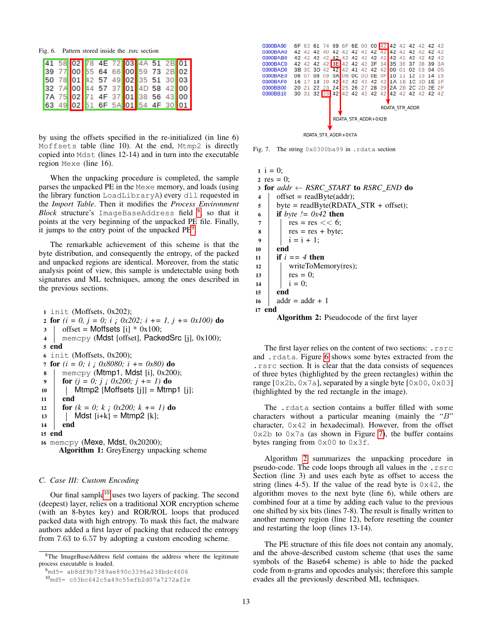Fig. 6. Pattern stored inside the .rsrc section

<span id="page-12-4"></span>

|  | 41 58 02 78 4E 72 03 4A 51 2B 01 |  |  |
|--|----------------------------------|--|--|
|  | 39 77 00 55 64 66 00 59 73 2B 02 |  |  |
|  | 50 78 01 42 57 49 02 35 51 30 03 |  |  |
|  | 32 7A 00 44 57 37 01 4D 58 42 00 |  |  |
|  | 7A 75 02 71 4F 37 01 38 56 43 00 |  |  |
|  | 63 49 02 51 6F 5A 01 54 4F 30 01 |  |  |

by using the offsets specified in the re-initialized (in line 6) Moffsets table (line 10). At the end, Mtmp2 is directly copied into Mdst (lines 12-14) and in turn into the executable region Mexe (line 16).

When the unpacking procedure is completed, the sample parses the unpacked PE in the Mexe memory, and loads (using the library function LoadLibraryA) every dll requested in the *Import Table*. Then it modifies the *Process Environment Block* structure's ImageBaseAddress field [8](#page-12-1) , so that it points at the very beginning of the unpacked PE file. Finally, it jumps to the entry point of the unpacked  $PE<sup>9</sup>$  $PE<sup>9</sup>$  $PE<sup>9</sup>$ .

The remarkable achievement of this scheme is that the byte distribution, and consequently the entropy, of the packed and unpacked regions are identical. Moreover, from the static analysis point of view, this sample is undetectable using both signatures and ML techniques, among the ones described in the previous sections.

<span id="page-12-0"></span><sup>1</sup> init (Moffsets, 0x202); 2 for  $(i = 0, j = 0; i; 0x202; i += 1, j += 0x100$  do  $3 \cdot$  offset = Moffsets [i]  $*$  0x100; 4 memcpy (Mdst [offset], PackedSrc [j], 0x100); 5 end 6 init (Moffsets,  $0x200$ ); <sup>7</sup> for *(i = 0; i ¡ 0x8080; i += 0x80)* do  $\boldsymbol{\delta}$  memcpy (Mtmp1, Mdst [i], 0x200); 9 | for  $(j = 0; j \; j \; 0x200; j += 1)$  do  $10$  | Mtmp2 [Moffsets [j]] = Mtmp1 [j];  $11$  end 12 **for**  $(k = 0; k \; j \; 0x200; k == 1)$  do 13 | | Mdst  $[i+k] = Mtmp2 [k];$ <sup>14</sup> end <sup>15</sup> end <sup>16</sup> memcpy (Mexe, Mdst, 0x20200); Algorithm 1: GreyEnergy unpacking scheme

## *C. Case III: Custom Encoding*

Our final sample<sup>[10](#page-12-3)</sup> uses two layers of packing. The second (deepest) layer, relies on a traditional XOR encryption scheme (with an 8-bytes key) and ROR/ROL loops that produced packed data with high entropy. To mask this fact, the malware authors added a first layer of packing that reduced the entropy from 7.63 to 6.57 by adopting a custom encoding scheme.



<span id="page-12-5"></span>Fig. 7. The string 0x0300ba99 in .rdata section

```
1 \, i = 0;2 res = 0;
3 for addr ← RSRC START to RSRC END do
4 offset = readByte(addr);
5 | byte = readByte(RDATA_STR + offset);
6 if byte != 0x42 then
7 \mid res = res << 6;
\begin{array}{c|c} \hline \text{8} & \text{res} = \text{res} + \text{byte}; \\ \hline \end{array}9 | i = i + 1;10 end
11 if i == 4 then
12 | writeToMemory(res);
13 | res = 0;
14 | i = 0;15 end
16 addr = addr + 1
17 end
      Algorithm 2: Pseudocode of the first layer
```
<span id="page-12-6"></span>The first layer relies on the content of two sections: .rsrc and .rdata. Figure [6](#page-12-4) shows some bytes extracted from the .rsrc section. It is clear that the data consists of sequences of three bytes (highlighted by the green rectangles) within the range [0x2b, 0x7a], separated by a single byte [0x00, 0x03] (highlighted by the red rectangle in the image).

The .rdata section contains a buffer filled with some characters without a particular meaning (mainly the "B" character, 0x42 in hexadecimal). However, from the offset  $0x2b$  to  $0x7a$  (as shown in Figure [7\)](#page-12-5), the buffer contains bytes ranging from  $0 \times 00$  to  $0 \times 3f$ .

Algorithm [2](#page-12-6) summarizes the unpacking procedure in pseudo-code. The code loops through all values in the .rsrc Section (line 3) and uses each byte as offset to access the string (lines 4-5). If the value of the read byte is  $0 \times 42$ , the algorithm moves to the next byte (line 6), while others are combined four at a time by adding each value to the previous one shifted by six bits (lines 7-8). The result is finally written to another memory region (line 12), before resetting the counter and restarting the loop (lines 13-14).

The PE structure of this file does not contain any anomaly, and the above-described custom scheme (that uses the same symbols of the Base64 scheme) is able to hide the packed code from n-grams and opcodes analysis; therefore this sample evades all the previously described ML techniques.

<span id="page-12-1"></span><sup>8</sup>The ImageBaseAddress field contains the address where the legitimate process executable is loaded.

<span id="page-12-2"></span><sup>9</sup>md5= ab8df9b7389ae890c3396a238bdc4606

<span id="page-12-3"></span><sup>10</sup>md5= c03bc642c5a49c55efb2d07a7272af2e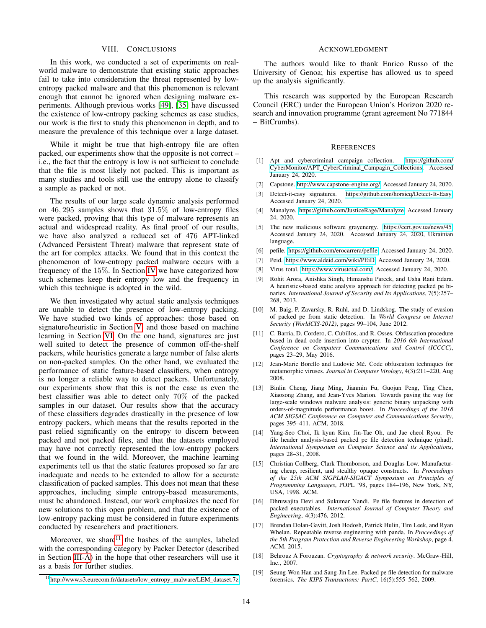## VIII. CONCLUSIONS

In this work, we conducted a set of experiments on realworld malware to demonstrate that existing static approaches fail to take into consideration the threat represented by lowentropy packed malware and that this phenomenon is relevant enough that cannot be ignored when designing malware experiments. Although previous works [\[49\]](#page-14-8), [\[35\]](#page-14-27) have discussed the existence of low-entropy packing schemes as case studies, our work is the first to study this phenomenon in depth, and to measure the prevalence of this technique over a large dataset.

While it might be true that high-entropy file are often packed, our experiments show that the opposite is not correct – i.e., the fact that the entropy is low is not sufficient to conclude that the file is most likely not packed. This is important as many studies and tools still use the entropy alone to classify a sample as packed or not.

The results of our large scale dynamic analysis performed on 46, 295 samples shows that 31.5% of low-entropy files were packed, proving that this type of malware represents an actual and widespread reality. As final proof of our results, we have also analyzed a reduced set of 476 APT-linked (Advanced Persistent Threat) malware that represent state of the art for complex attacks. We found that in this context the phenomenon of low-entropy packed malware occurs with a frequency of the 15%. In Section [IV](#page-5-0) we have categorized how such schemes keep their entropy low and the frequency in which this technique is adopted in the wild.

We then investigated why actual static analysis techniques are unable to detect the presence of low-entropy packing. We have studied two kinds of approaches: those based on signature/heuristic in Section [V,](#page-7-0) and those based on machine learning in Section [VI.](#page-8-0) On the one hand, signatures are just well suited to detect the presence of common off-the-shelf packers, while heuristics generate a large number of false alerts on non-packed samples. On the other hand, we evaluated the performance of static feature-based classifiers, when entropy is no longer a reliable way to detect packers. Unfortunately, our experiments show that this is not the case as even the best classifier was able to detect only 70% of the packed samples in our dataset. Our results show that the accuracy of these classifiers degrades drastically in the presence of low entropy packers, which means that the results reported in the past relied significantly on the entropy to discern between packed and not packed files, and that the datasets employed may have not correctly represented the low-entropy packers that we found in the wild. Moreover, the machine learning experiments tell us that the static features proposed so far are inadequate and needs to be extended to allow for a accurate classification of packed samples. This does not mean that these approaches, including simple entropy-based measurements, must be abandoned. Instead, our work emphasizes the need for new solutions to this open problem, and that the existence of low-entropy packing must be considered in future experiments conducted by researchers and practitioners.

Moreover, we share<sup>[11](#page-13-19)</sup> the hashes of the samples, labeled with the corresponding category by Packer Detector (described in Section [III-A\)](#page-3-5) in the hope that other researchers will use it as a basis for further studies.

#### ACKNOWLEDGMENT

The authors would like to thank Enrico Russo of the University of Genoa; his expertise has allowed us to speed up the analysis significantly.

This research was supported by the European Research Council (ERC) under the European Union's Horizon 2020 research and innovation programme (grant agreement No 771844 – BitCrumbs).

#### **REFERENCES**

- <span id="page-13-11"></span>[1] Apt and cybercriminal campaign collection. [https://github.com/](https://github.com/CyberMonitor/APT_CyberCriminal_Campagin_Collections) [CyberMonitor/APT](https://github.com/CyberMonitor/APT_CyberCriminal_Campagin_Collections) CyberCriminal Campagin Collections, Accessed January 24, 2020.
- <span id="page-13-13"></span>[2] Capstone. [http://www.capstone-engine.org/,](http://www.capstone-engine.org/) Accessed January 24, 2020.
- <span id="page-13-4"></span>[3] Detect-it-easy signatures. [https://github.com/horsicq/Detect-It-Easy,](https://github.com/horsicq/Detect-It-Easy) Accessed January 24, 2020.
- <span id="page-13-5"></span>[4] Manalyze. [https://github.com/JusticeRage/Manalyze,](https://github.com/JusticeRage/Manalyze) Accessed January 24, 2020.
- <span id="page-13-18"></span>[5] The new malicious software grayenergy. [https://cert.gov.ua/news/45,](https://cert.gov.ua/news/45) Accessed January 24, 2020. Accessed January 24, 2020, Ukrainian language.
- <span id="page-13-10"></span>[6] pefile. [https://github.com/erocarrera/pefile,](https://github.com/erocarrera/pefile) Accessed January 24, 2020.
- <span id="page-13-6"></span>[7] Peid. [https://www.aldeid.com/wiki/PEiD,](https://www.aldeid.com/wiki/PEiD) Accessed January 24, 2020.
- <span id="page-13-8"></span>Virus total. [https://www.virustotal.com/,](https://www.virustotal.com/) Accessed January 24, 2020.
- <span id="page-13-16"></span>[9] Rohit Arora, Anishka Singh, Himanshu Pareek, and Usha Rani Edara. A heuristics-based static analysis approach for detecting packed pe binaries. *International Journal of Security and Its Applications*, 7(5):257– 268, 2013.
- <span id="page-13-7"></span>[10] M. Baig, P. Zavarsky, R. Ruhl, and D. Lindskog. The study of evasion of packed pe from static detection. In *World Congress on Internet Security (WorldCIS-2012)*, pages 99–104, June 2012.
- <span id="page-13-1"></span>[11] C. Barria, D. Cordero, C. Cubillos, and R. Osses. Obfuscation procedure based in dead code insertion into crypter. In *2016 6th International Conference on Computers Communications and Control (ICCCC)*, pages 23–29, May 2016.
- <span id="page-13-0"></span>[12] Jean-Marie Borello and Ludovic Mé. Code obfuscation techniques for metamorphic viruses. *Journal in Computer Virology*, 4(3):211–220, Aug 2008.
- <span id="page-13-17"></span>[13] Binlin Cheng, Jiang Ming, Jianmin Fu, Guojun Peng, Ting Chen, Xiaosong Zhang, and Jean-Yves Marion. Towards paving the way for large-scale windows malware analysis: generic binary unpacking with orders-of-magnitude performance boost. In *Proceedings of the 2018 ACM SIGSAC Conference on Computer and Communications Security*, pages 395–411. ACM, 2018.
- <span id="page-13-14"></span>[14] Yang-Seo Choi, Ik kyun Kim, Jin-Tae Oh, and Jae cheol Ryou. Pe file header analysis-based packed pe file detection technique (phad). *International Symposium on Computer Science and its Applications*, pages 28–31, 2008.
- <span id="page-13-2"></span>[15] Christian Collberg, Clark Thomborson, and Douglas Low. Manufacturing cheap, resilient, and stealthy opaque constructs. In *Proceedings of the 25th ACM SIGPLAN-SIGACT Symposium on Principles of Programming Languages*, POPL '98, pages 184–196, New York, NY, USA, 1998. ACM.
- <span id="page-13-15"></span>[16] Dhruwajita Devi and Sukumar Nandi. Pe file features in detection of packed executables. *International Journal of Computer Theory and Engineering*, 4(3):476, 2012.
- <span id="page-13-12"></span>[17] Brendan Dolan-Gavitt, Josh Hodosh, Patrick Hulin, Tim Leek, and Ryan Whelan. Repeatable reverse engineering with panda. In *Proceedings of the 5th Program Protection and Reverse Engineering Workshop*, page 4. ACM, 2015.
- <span id="page-13-9"></span>[18] Behrouz A Forouzan. *Cryptography & network security*. McGraw-Hill, Inc., 2007.
- <span id="page-13-3"></span>[19] Seung-Won Han and Sang-Jin Lee. Packed pe file detection for malware forensics. *The KIPS Transactions: PartC*, 16(5):555–562, 2009.

<span id="page-13-19"></span><sup>&</sup>lt;sup>11</sup>[http://www.s3.eurecom.fr/datasets/low](http://www.s3.eurecom.fr/datasets/low_entropy_malware/LEM_dataset.7z)\_entropy\_malware/LEM\_dataset.7z